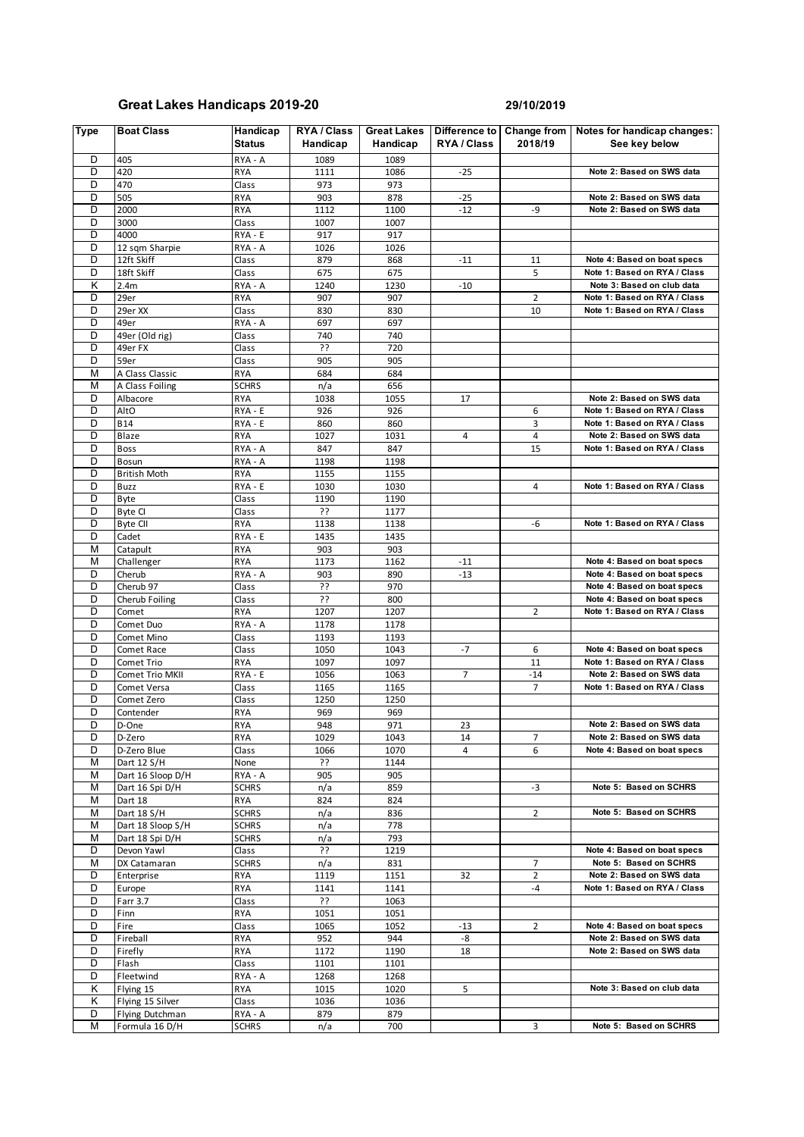## **Great Lakes Handicaps 2019-20 29/10/2019**

| <b>Type</b> | <b>Boat Class</b>                 | Handicap<br><b>Status</b> | RYA / Class<br>Handicap | <b>Great Lakes</b><br>Handicap | Difference to<br>RYA / Class | Change from<br>2018/19 | Notes for handicap changes:<br>See key below             |
|-------------|-----------------------------------|---------------------------|-------------------------|--------------------------------|------------------------------|------------------------|----------------------------------------------------------|
| D           | 405                               | RYA - A                   | 1089                    | 1089                           |                              |                        |                                                          |
| D           | 420                               | <b>RYA</b>                | 1111                    | 1086                           | $-25$                        |                        | Note 2: Based on SWS data                                |
| D           | 470                               | Class                     | 973                     | 973                            |                              |                        |                                                          |
| D<br>D      | 505                               | <b>RYA</b>                | 903                     | 878                            | $-25$                        |                        | Note 2: Based on SWS data<br>Note 2: Based on SWS data   |
| D           | 2000<br>3000                      | <b>RYA</b><br>Class       | 1112<br>1007            | 1100<br>1007                   | $-12$                        | -9                     |                                                          |
| D           | 4000                              | RYA - E                   | 917                     | 917                            |                              |                        |                                                          |
| D           | 12 sqm Sharpie                    | RYA - A                   | 1026                    | 1026                           |                              |                        |                                                          |
| D           | 12ft Skiff                        | Class                     | 879                     | 868                            | $-11$                        | 11                     | Note 4: Based on boat specs                              |
| D           | 18ft Skiff                        | Class                     | 675                     | 675                            |                              | 5                      | Note 1: Based on RYA / Class                             |
| Κ           | 2.4m                              | RYA - A                   | 1240                    | 1230                           | $-10$                        |                        | Note 3: Based on club data                               |
| D           | 29er                              | <b>RYA</b>                | 907                     | 907                            |                              | $\overline{2}$         | Note 1: Based on RYA / Class                             |
| D           | 29er XX                           | Class                     | 830                     | 830                            |                              | 10                     | Note 1: Based on RYA / Class                             |
| D           | 49er                              | RYA - A                   | 697                     | 697                            |                              |                        |                                                          |
| D           | 49er (Old rig)                    | Class                     | 740                     | 740                            |                              |                        |                                                          |
| D           | 49er FX                           | Class                     | ??                      | 720                            |                              |                        |                                                          |
| D           | 59er                              | Class                     | 905                     | 905                            |                              |                        |                                                          |
| M           | A Class Classic                   | <b>RYA</b>                | 684                     | 684                            |                              |                        |                                                          |
| M           | A Class Foiling                   | <b>SCHRS</b>              | n/a                     | 656                            |                              |                        |                                                          |
| D           | Albacore                          | <b>RYA</b>                | 1038                    | 1055                           | 17                           |                        | Note 2: Based on SWS data                                |
| D           | AltO                              | RYA - E                   | 926                     | 926                            |                              | 6                      | Note 1: Based on RYA / Class                             |
| D           | <b>B14</b>                        | RYA - E                   | 860                     | 860                            |                              | 3                      | Note 1: Based on RYA / Class                             |
| D           | Blaze                             | <b>RYA</b>                | 1027                    | 1031                           | 4                            | $\sqrt{4}$             | Note 2: Based on SWS data                                |
| D           | <b>Boss</b>                       | RYA - A                   | 847                     | 847                            |                              | 15                     | Note 1: Based on RYA / Class                             |
| D<br>D      | <b>Bosun</b>                      | RYA - A                   | 1198                    | 1198                           |                              |                        |                                                          |
| D           | <b>British Moth</b>               | <b>RYA</b>                | 1155                    | 1155                           |                              |                        | Note 1: Based on RYA / Class                             |
| D           | Buzz<br>Byte                      | RYA - E<br>Class          | 1030<br>1190            | 1030<br>1190                   |                              | 4                      |                                                          |
| D           | Byte CI                           | Class                     | ??                      | 1177                           |                              |                        |                                                          |
| D           | <b>Byte CII</b>                   | <b>RYA</b>                | 1138                    | 1138                           |                              | -6                     | Note 1: Based on RYA / Class                             |
| D           | Cadet                             | RYA - E                   | 1435                    | 1435                           |                              |                        |                                                          |
| M           | Catapult                          | <b>RYA</b>                | 903                     | 903                            |                              |                        |                                                          |
| M           | Challenger                        | <b>RYA</b>                | 1173                    | 1162                           | $-11$                        |                        | Note 4: Based on boat specs                              |
| D           | Cherub                            | RYA - A                   | 903                     | 890                            | $-13$                        |                        | Note 4: Based on boat specs                              |
| D           | Cherub 97                         | Class                     | ??                      | 970                            |                              |                        | Note 4: Based on boat specs                              |
| D           | Cherub Foiling                    | Class                     | 55                      | 800                            |                              |                        | Note 4: Based on boat specs                              |
| D           | Comet                             | <b>RYA</b>                | 1207                    | 1207                           |                              | $\overline{2}$         | Note 1: Based on RYA / Class                             |
| D           | Comet Duo                         | RYA - A                   | 1178                    | 1178                           |                              |                        |                                                          |
| D           | Comet Mino                        | Class                     | 1193                    | 1193                           |                              |                        |                                                          |
| D           | Comet Race                        | Class                     | 1050                    | 1043                           | $-7$                         | 6                      | Note 4: Based on boat specs                              |
| D           | Comet Trio                        | <b>RYA</b>                | 1097                    | 1097                           |                              | 11                     | Note 1: Based on RYA / Class                             |
| D           | Comet Trio MKII                   | RYA - E                   | 1056                    | 1063                           | 7                            | $-14$                  | Note 2: Based on SWS data                                |
| D           | Comet Versa                       | Class                     | 1165                    | 1165                           |                              | $\overline{7}$         | Note 1: Based on RYA / Class                             |
| D           | Comet Zero                        | Class                     | 1250                    | 1250                           |                              |                        |                                                          |
| D           | Contender                         | <b>RYA</b>                | 969                     | 969                            |                              |                        |                                                          |
| D           | D-One                             | <b>RYA</b>                | 948                     | 971                            | 23                           |                        | Note 2: Based on SWS data                                |
| D<br>D      | D-Zero<br>D-Zero Blue             | RYA<br>Class              | 1029                    | 1043<br>1070                   | 14<br>4                      | 7<br>6                 | Note 2: Based on SWS data<br>Note 4: Based on boat specs |
| М           | Dart 12 S/H                       | None                      | 1066<br>??              | 1144                           |                              |                        |                                                          |
| М           | Dart 16 Sloop D/H                 | RYA - A                   | 905                     | 905                            |                              |                        |                                                          |
| М           | Dart 16 Spi D/H                   | <b>SCHRS</b>              | n/a                     | 859                            |                              | $-3$                   | Note 5: Based on SCHRS                                   |
| M           | Dart 18                           | RYA                       | 824                     | 824                            |                              |                        |                                                          |
| М           | Dart 18 S/H                       | <b>SCHRS</b>              | n/a                     | 836                            |                              | $\overline{2}$         | Note 5: Based on SCHRS                                   |
| М           | Dart 18 Sloop S/H                 | <b>SCHRS</b>              | n/a                     | 778                            |                              |                        |                                                          |
| м           | Dart 18 Spi D/H                   | <b>SCHRS</b>              | n/a                     | 793                            |                              |                        |                                                          |
| D           | Devon Yawl                        | Class                     | ??                      | 1219                           |                              |                        | Note 4: Based on boat specs                              |
| М           | DX Catamaran                      | <b>SCHRS</b>              | n/a                     | 831                            |                              | 7                      | Note 5: Based on SCHRS                                   |
| D           | Enterprise                        | <b>RYA</b>                | 1119                    | 1151                           | 32                           | $\overline{2}$         | Note 2: Based on SWS data                                |
| D           | Europe                            | <b>RYA</b>                | 1141                    | 1141                           |                              | -4                     | Note 1: Based on RYA / Class                             |
| D           | Farr 3.7                          | Class                     | ??                      | 1063                           |                              |                        |                                                          |
| D           | Finn                              | <b>RYA</b>                | 1051                    | 1051                           |                              |                        |                                                          |
| D           | Fire                              | Class                     | 1065                    | 1052                           | $-13$                        | 2                      | Note 4: Based on boat specs                              |
| D           | Fireball                          | <b>RYA</b>                | 952                     | 944                            | -8                           |                        | Note 2: Based on SWS data                                |
| D           | Firefly                           | RYA                       | 1172                    | 1190                           | 18                           |                        | Note 2: Based on SWS data                                |
| D           | Flash                             | Class                     | 1101                    | 1101                           |                              |                        |                                                          |
| D           | Fleetwind                         | RYA - A                   | 1268                    | 1268                           |                              |                        |                                                          |
| Κ           | Flying 15                         | RYA                       | 1015                    | 1020                           | 5                            |                        | Note 3: Based on club data                               |
| Κ           | Flying 15 Silver                  | Class                     | 1036                    | 1036                           |                              |                        |                                                          |
| D<br>М      | Flying Dutchman<br>Formula 16 D/H | RYA - A<br><b>SCHRS</b>   | 879<br>n/a              | 879<br>700                     |                              | 3                      | Note 5: Based on SCHRS                                   |
|             |                                   |                           |                         |                                |                              |                        |                                                          |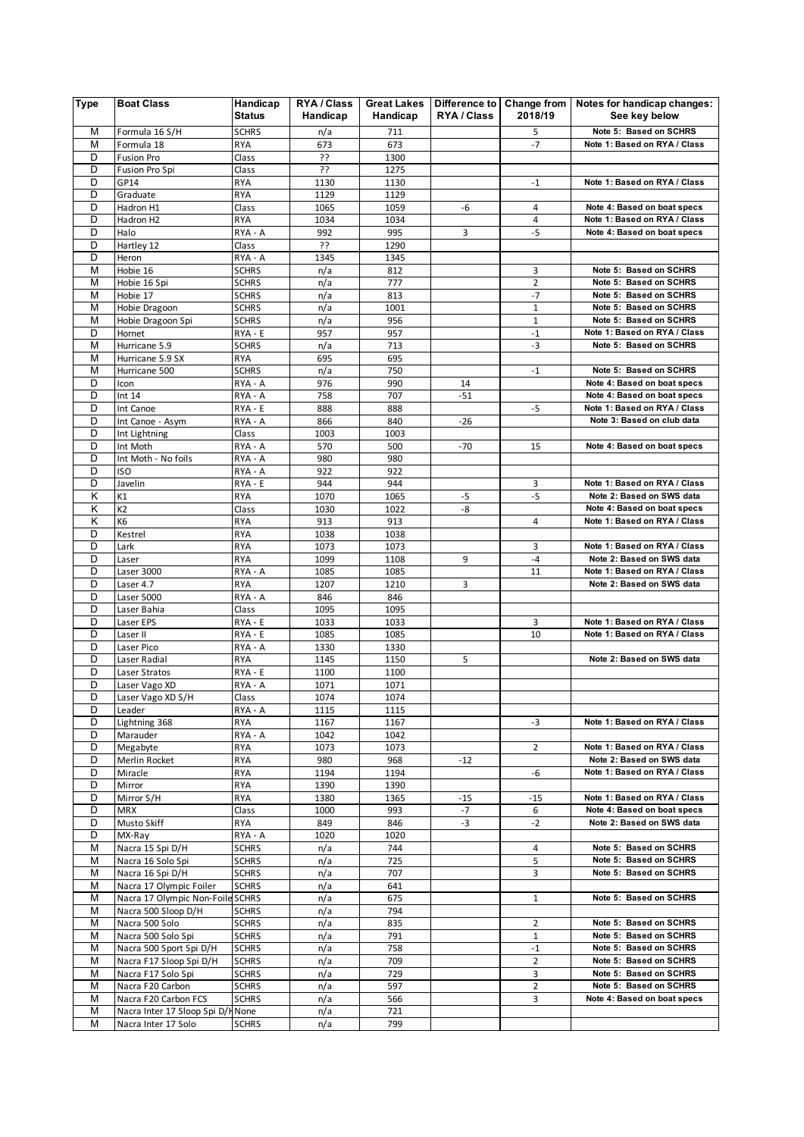| <b>Type</b> | <b>Boat Class</b>                     | Handicap<br><b>Status</b>    | RYA / Class<br>Handicap | <b>Great Lakes</b><br>Handicap | RYA / Class | 2018/19        | Difference to   Change from   Notes for handicap changes:<br>See key below |
|-------------|---------------------------------------|------------------------------|-------------------------|--------------------------------|-------------|----------------|----------------------------------------------------------------------------|
| М           | Formula 16 S/H                        | <b>SCHRS</b>                 | n/a                     | 711                            |             | 5              | Note 5: Based on SCHRS                                                     |
| M           | Formula 18                            | <b>RYA</b>                   | 673                     | 673                            |             | $-7$           | Note 1: Based on RYA / Class                                               |
| D           | Fusion Pro                            | Class                        | ??                      | 1300                           |             |                |                                                                            |
| D           | Fusion Pro Spi                        | Class                        | ??                      | 1275                           |             |                |                                                                            |
| D           | GP14                                  | <b>RYA</b>                   | 1130                    | 1130                           |             | $-1$           | Note 1: Based on RYA / Class                                               |
| D           | Graduate                              | <b>RYA</b>                   | 1129                    | 1129                           |             |                |                                                                            |
| D           | Hadron H1                             | Class                        | 1065                    | 1059                           | -6          | 4              | Note 4: Based on boat specs                                                |
| D           | Hadron H2                             | <b>RYA</b>                   | 1034                    | 1034                           |             | 4              | Note 1: Based on RYA / Class                                               |
| D           | Halo                                  | RYA - A                      | 992                     | 995                            | 3           | $-5$           | Note 4: Based on boat specs                                                |
| D           | Hartley 12                            | Class                        | 55                      | 1290                           |             |                |                                                                            |
| D           | Heron                                 | RYA - A                      | 1345                    | 1345                           |             |                |                                                                            |
| М           | Hobie 16                              | <b>SCHRS</b>                 | n/a                     | 812                            |             | 3              | Note 5: Based on SCHRS                                                     |
| М           | Hobie 16 Spi                          | <b>SCHRS</b>                 | n/a                     | 777                            |             | $\overline{2}$ | Note 5: Based on SCHRS                                                     |
| M           | Hobie 17                              | <b>SCHRS</b>                 | n/a                     | 813                            |             | $-7$           | Note 5: Based on SCHRS                                                     |
| М           | Hobie Dragoon                         | <b>SCHRS</b>                 | n/a                     | 1001                           |             | $\mathbf{1}$   | Note 5: Based on SCHRS                                                     |
| М           | Hobie Dragoon Spi                     | <b>SCHRS</b>                 | n/a                     | 956                            |             | $\mathbf{1}$   | Note 5: Based on SCHRS                                                     |
| D           | Hornet                                | RYA - E                      | 957                     | 957                            |             | $^{\rm -1}$    | Note 1: Based on RYA / Class                                               |
| М           | Hurricane 5.9                         | <b>SCHRS</b>                 | n/a                     | 713                            |             | $-3$           | Note 5: Based on SCHRS                                                     |
| M<br>M      | Hurricane 5.9 SX<br>Hurricane 500     | <b>RYA</b><br><b>SCHRS</b>   | 695<br>n/a              | 695<br>750                     |             | $-1$           | Note 5: Based on SCHRS                                                     |
| D           | Icon                                  | RYA - A                      | 976                     | 990                            | 14          |                | Note 4: Based on boat specs                                                |
| D           | Int $14$                              | RYA - A                      | 758                     | 707                            | $-51$       |                | Note 4: Based on boat specs                                                |
| D           | Int Canoe                             | RYA - E                      | 888                     | 888                            |             | $-5$           | Note 1: Based on RYA / Class                                               |
| D           | Int Canoe - Asym                      | RYA - A                      | 866                     | 840                            | $-26$       |                | Note 3: Based on club data                                                 |
| D           | Int Lightning                         | Class                        | 1003                    | 1003                           |             |                |                                                                            |
| D           | Int Moth                              | RYA - A                      | 570                     | 500                            | $-70$       | 15             | Note 4: Based on boat specs                                                |
| D           | Int Moth - No foils                   | RYA - A                      | 980                     | 980                            |             |                |                                                                            |
| D           | <b>ISO</b>                            | RYA - A                      | 922                     | 922                            |             |                |                                                                            |
| D           | Javelin                               | RYA - E                      | 944                     | 944                            |             | 3              | Note 1: Based on RYA / Class                                               |
| Κ           | K1                                    | <b>RYA</b>                   | 1070                    | 1065                           | $-5$        | $-5$           | Note 2: Based on SWS data                                                  |
| κ           | K <sub>2</sub>                        | Class                        | 1030                    | 1022                           | -8          |                | Note 4: Based on boat specs                                                |
| K           | K6                                    | <b>RYA</b>                   | 913                     | 913                            |             | 4              | Note 1: Based on RYA / Class                                               |
| D           | Kestrel                               | <b>RYA</b>                   | 1038                    | 1038                           |             |                |                                                                            |
| D           | Lark                                  | <b>RYA</b>                   | 1073                    | 1073                           |             | 3              | Note 1: Based on RYA / Class                                               |
| D           | Laser                                 | <b>RYA</b>                   | 1099                    | 1108                           | 9           | -4             | Note 2: Based on SWS data                                                  |
| D           | Laser 3000                            | RYA - A                      | 1085                    | 1085                           |             | 11             | Note 1: Based on RYA / Class                                               |
| D           | Laser 4.7                             | <b>RYA</b>                   | 1207                    | 1210                           | 3           |                | Note 2: Based on SWS data                                                  |
| D           | Laser 5000                            | RYA - A                      | 846                     | 846                            |             |                |                                                                            |
| D           | Laser Bahia                           | Class                        | 1095                    | 1095                           |             |                | Note 1: Based on RYA / Class                                               |
| D<br>D      | Laser EPS<br>Laser II                 | RYA - E<br>RYA - E           | 1033<br>1085            | 1033<br>1085                   |             | 3<br>10        | Note 1: Based on RYA / Class                                               |
| D           | Laser Pico                            | RYA - A                      | 1330                    | 1330                           |             |                |                                                                            |
| D           | Laser Radial                          | <b>RYA</b>                   | 1145                    | 1150                           | 5           |                | Note 2: Based on SWS data                                                  |
| D           | Laser Stratos                         | RYA - E                      | 1100                    | 1100                           |             |                |                                                                            |
| D           | Laser Vago XD                         | RYA - A                      | 1071                    | 1071                           |             |                |                                                                            |
| D           | Laser Vago XD S/H                     | Class                        | 1074                    | 1074                           |             |                |                                                                            |
| D           | Leader                                | RYA - A                      | 1115                    | 1115                           |             |                |                                                                            |
| D           | Lightning 368                         | <b>RYA</b>                   | 1167                    | 1167                           |             | -3             | Note 1: Based on RYA / Class                                               |
| D           | Marauder                              | RYA - A                      | 1042                    | 1042                           |             |                |                                                                            |
| D           | Megabyte                              | RYA                          | 1073                    | 1073                           |             | 2              | Note 1: Based on RYA / Class                                               |
| D           | Merlin Rocket                         | RYA                          | 980                     | 968                            | $-12$       |                | Note 2: Based on SWS data                                                  |
| D           | Miracle                               | <b>RYA</b>                   | 1194                    | 1194                           |             | -6             | Note 1: Based on RYA / Class                                               |
| D           | Mirror                                | <b>RYA</b>                   | 1390                    | 1390                           |             |                |                                                                            |
| D           | Mirror S/H                            | <b>RYA</b>                   | 1380                    | 1365                           | $-15$       | $-15$          | Note 1: Based on RYA / Class                                               |
| D           | <b>MRX</b>                            | Class                        | 1000                    | 993                            | $-7$        | 6              | Note 4: Based on boat specs                                                |
| D           | Musto Skiff                           | <b>RYA</b>                   | 849                     | 846                            | $-3$        | $-2$           | Note 2: Based on SWS data                                                  |
| D           | MX-Ray                                | RYA - A                      | 1020                    | 1020                           |             |                |                                                                            |
| М           | Nacra 15 Spi D/H                      | <b>SCHRS</b>                 | n/a                     | 744                            |             | 4              | Note 5: Based on SCHRS                                                     |
| М<br>M      | Nacra 16 Solo Spi<br>Nacra 16 Spi D/H | <b>SCHRS</b>                 | n/a                     | 725<br>707                     |             | 5              | Note 5: Based on SCHRS<br>Note 5: Based on SCHRS                           |
| М           | Nacra 17 Olympic Foiler               | <b>SCHRS</b><br><b>SCHRS</b> | n/a<br>n/a              | 641                            |             | 3              |                                                                            |
| М           | Nacra 17 Olympic Non-Foile SCHRS      |                              | n/a                     | 675                            |             | $\mathbf{1}$   | Note 5: Based on SCHRS                                                     |
| М           | Nacra 500 Sloop D/H                   | <b>SCHRS</b>                 | n/a                     | 794                            |             |                |                                                                            |
| М           | Nacra 500 Solo                        | <b>SCHRS</b>                 | n/a                     | 835                            |             | $\overline{2}$ | Note 5: Based on SCHRS                                                     |
| М           | Nacra 500 Solo Spi                    | <b>SCHRS</b>                 | n/a                     | 791                            |             | $\mathbf{1}$   | Note 5: Based on SCHRS                                                     |
| М           | Nacra 500 Sport Spi D/H               | <b>SCHRS</b>                 | n/a                     | 758                            |             | $-1$           | Note 5: Based on SCHRS                                                     |
| М           | Nacra F17 Sloop Spi D/H               | <b>SCHRS</b>                 | n/a                     | 709                            |             | $\overline{2}$ | Note 5: Based on SCHRS                                                     |
| М           | Nacra F17 Solo Spi                    | <b>SCHRS</b>                 | n/a                     | 729                            |             | 3              | Note 5: Based on SCHRS                                                     |
| М           | Nacra F20 Carbon                      | <b>SCHRS</b>                 | n/a                     | 597                            |             | $\overline{2}$ | Note 5: Based on SCHRS                                                     |
| М           | Nacra F20 Carbon FCS                  | <b>SCHRS</b>                 | n/a                     | 566                            |             | 3              | Note 4: Based on boat specs                                                |
| М           | Nacra Inter 17 Sloop Spi D/H None     |                              | n/a                     | 721                            |             |                |                                                                            |
| М           | Nacra Inter 17 Solo                   | <b>SCHRS</b>                 | n/a                     | 799                            |             |                |                                                                            |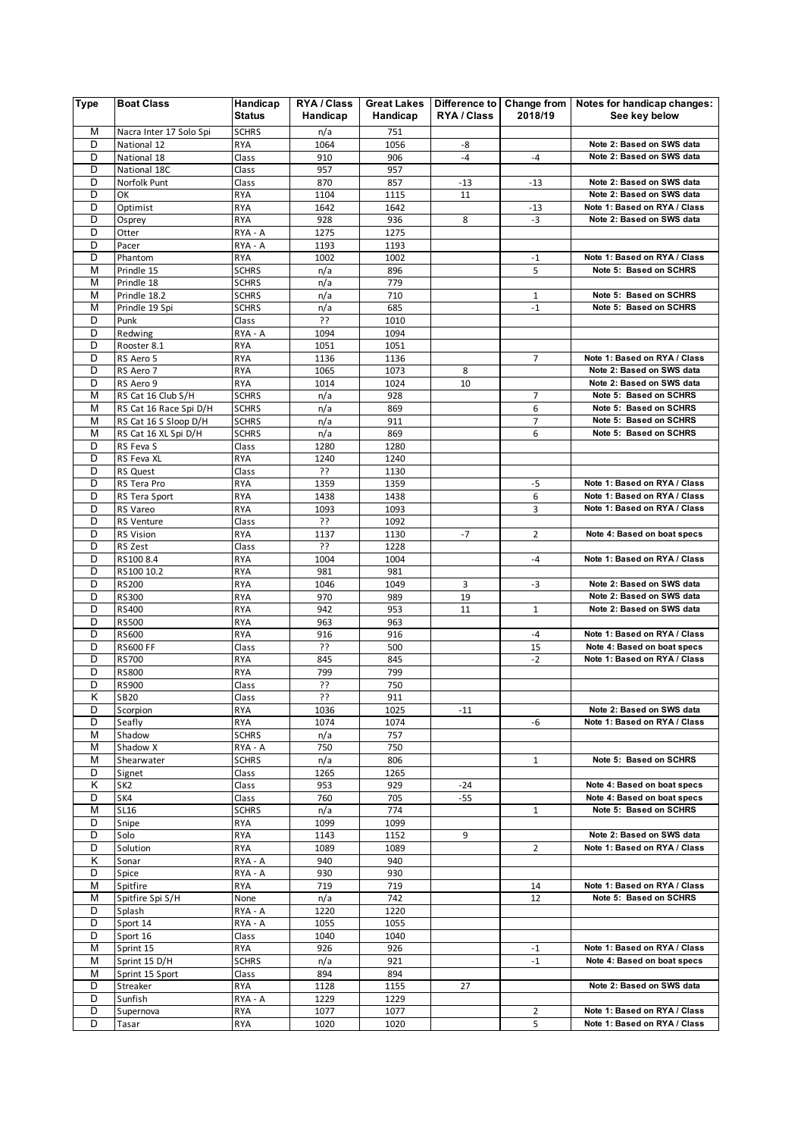| <b>Type</b> | <b>Boat Class</b>          | Handicap<br><b>Status</b>    | RYA / Class<br>Handicap | <b>Great Lakes</b><br>Handicap | Difference to Change from<br>RYA / Class | 2018/19        | Notes for handicap changes:<br>See key below |
|-------------|----------------------------|------------------------------|-------------------------|--------------------------------|------------------------------------------|----------------|----------------------------------------------|
| M           | Nacra Inter 17 Solo Spi    | <b>SCHRS</b>                 | n/a                     | 751                            |                                          |                |                                              |
| D           | National 12                | <b>RYA</b>                   | 1064                    | 1056                           | -8                                       |                | Note 2: Based on SWS data                    |
| D           | National 18                | Class                        | 910                     | 906                            | $-4$                                     | $-4$           | Note 2: Based on SWS data                    |
| D           | National 18C               | Class                        | 957                     | 957                            |                                          |                |                                              |
| D           | Norfolk Punt               | Class                        | 870                     | 857                            | $-13$                                    | $-13$          | Note 2: Based on SWS data                    |
| D           | OK                         | <b>RYA</b>                   | 1104                    | 1115                           | 11                                       |                | Note 2: Based on SWS data                    |
| D           | Optimist                   | <b>RYA</b>                   | 1642                    | 1642                           |                                          | $-13$          | Note 1: Based on RYA / Class                 |
| D           | Osprey                     | <b>RYA</b>                   | 928                     | 936                            | 8                                        | $-3$           | Note 2: Based on SWS data                    |
| D           | Otter                      | RYA - A                      | 1275                    | 1275                           |                                          |                |                                              |
| D           | Pacer                      | RYA - A                      | 1193                    | 1193                           |                                          |                |                                              |
| D           | Phantom                    | <b>RYA</b>                   | 1002                    | 1002                           |                                          | $-1$           | Note 1: Based on RYA / Class                 |
| M<br>М      | Prindle 15                 | <b>SCHRS</b>                 | n/a                     | 896<br>779                     |                                          | 5              | Note 5: Based on SCHRS                       |
| M           | Prindle 18<br>Prindle 18.2 | <b>SCHRS</b><br><b>SCHRS</b> | n/a<br>n/a              | 710                            |                                          | $\mathbf{1}$   | Note 5: Based on SCHRS                       |
| М           | Prindle 19 Spi             | <b>SCHRS</b>                 | n/a                     | 685                            |                                          | $-1$           | Note 5: Based on SCHRS                       |
| D           | Punk                       | Class                        | 55                      | 1010                           |                                          |                |                                              |
| D           | Redwing                    | RYA - A                      | 1094                    | 1094                           |                                          |                |                                              |
| D           | Rooster 8.1                | <b>RYA</b>                   | 1051                    | 1051                           |                                          |                |                                              |
| D           | RS Aero 5                  | <b>RYA</b>                   | 1136                    | 1136                           |                                          | $\overline{7}$ | Note 1: Based on RYA / Class                 |
| D           | RS Aero 7                  | <b>RYA</b>                   | 1065                    | 1073                           | 8                                        |                | Note 2: Based on SWS data                    |
| D           | RS Aero 9                  | <b>RYA</b>                   | 1014                    | 1024                           | 10                                       |                | Note 2: Based on SWS data                    |
| М           | RS Cat 16 Club S/H         | <b>SCHRS</b>                 | n/a                     | 928                            |                                          | $\overline{7}$ | Note 5: Based on SCHRS                       |
| М           | RS Cat 16 Race Spi D/H     | <b>SCHRS</b>                 | n/a                     | 869                            |                                          | 6              | Note 5: Based on SCHRS                       |
| М           | RS Cat 16 S Sloop D/H      | <b>SCHRS</b>                 | n/a                     | 911                            |                                          | 7              | Note 5: Based on SCHRS                       |
| М           | RS Cat 16 XL Spi D/H       | <b>SCHRS</b>                 | n/a                     | 869                            |                                          | 6              | Note 5: Based on SCHRS                       |
| D           | RS Feva S                  | Class                        | 1280                    | 1280                           |                                          |                |                                              |
| D           | RS Feva XL                 | <b>RYA</b>                   | 1240                    | 1240                           |                                          |                |                                              |
| D           | <b>RS Quest</b>            | Class                        | ??                      | 1130                           |                                          |                |                                              |
| D           | RS Tera Pro                | <b>RYA</b>                   | 1359                    | 1359                           |                                          | -5             | Note 1: Based on RYA / Class                 |
| D           | RS Tera Sport              | <b>RYA</b>                   | 1438                    | 1438                           |                                          | 6              | Note 1: Based on RYA / Class                 |
| D           | RS Vareo                   | RYA                          | 1093                    | 1093                           |                                          | 3              | Note 1: Based on RYA / Class                 |
| D<br>D      | RS Venture                 | Class                        | ??                      | 1092                           |                                          |                |                                              |
| D           | RS Vision                  | <b>RYA</b>                   | 1137<br>??              | 1130                           | $-7$                                     | $\overline{2}$ | Note 4: Based on boat specs                  |
| D           | RS Zest<br>RS100 8.4       | Class<br><b>RYA</b>          | 1004                    | 1228<br>1004                   |                                          | $-4$           | Note 1: Based on RYA / Class                 |
| D           | RS100 10.2                 | <b>RYA</b>                   | 981                     | 981                            |                                          |                |                                              |
| D           | RS200                      | <b>RYA</b>                   | 1046                    | 1049                           | 3                                        | -3             | Note 2: Based on SWS data                    |
| D           | <b>RS300</b>               | <b>RYA</b>                   | 970                     | 989                            | 19                                       |                | Note 2: Based on SWS data                    |
| D           | RS400                      | <b>RYA</b>                   | 942                     | 953                            | 11                                       | $\mathbf 1$    | Note 2: Based on SWS data                    |
| D           | <b>RS500</b>               | <b>RYA</b>                   | 963                     | 963                            |                                          |                |                                              |
| D           | <b>RS600</b>               | <b>RYA</b>                   | 916                     | 916                            |                                          | $-4$           | Note 1: Based on RYA / Class                 |
| D           | <b>RS600 FF</b>            | Class                        | ??                      | 500                            |                                          | 15             | Note 4: Based on boat specs                  |
| D           | <b>RS700</b>               | <b>RYA</b>                   | 845                     | 845                            |                                          | $-2$           | Note 1: Based on RYA / Class                 |
| D           | <b>RS800</b>               | <b>RYA</b>                   | 799                     | 799                            |                                          |                |                                              |
| D           | <b>RS900</b>               | Class                        | 55                      | 750                            |                                          |                |                                              |
| Κ           | <b>SB20</b>                | Class                        | ??                      | 911                            |                                          |                |                                              |
| D           | Scorpion                   | <b>RYA</b>                   | 1036                    | 1025                           | $-11$                                    |                | Note 2: Based on SWS data                    |
| D           | Seafly                     | <b>RYA</b>                   | 1074                    | 1074                           |                                          | -6             | Note 1: Based on RYA / Class                 |
| М<br>М      | Shadow                     | <b>SCHRS</b>                 | n/a                     | 757                            |                                          |                |                                              |
| М           | Shadow X<br>Shearwater     | RYA - A<br><b>SCHRS</b>      | 750                     | 750<br>806                     |                                          | $\mathbf{1}$   | Note 5: Based on SCHRS                       |
| D           | Signet                     | Class                        | n/a<br>1265             | 1265                           |                                          |                |                                              |
| Κ           | SK <sub>2</sub>            | Class                        | 953                     | 929                            | $-24$                                    |                | Note 4: Based on boat specs                  |
| D           | SK4                        | Class                        | 760                     | 705                            | $-55$                                    |                | Note 4: Based on boat specs                  |
| М           | SL16                       | <b>SCHRS</b>                 | n/a                     | 774                            |                                          | 1              | Note 5: Based on SCHRS                       |
| D           | Snipe                      | <b>RYA</b>                   | 1099                    | 1099                           |                                          |                |                                              |
| D           | Solo                       | <b>RYA</b>                   | 1143                    | 1152                           | 9                                        |                | Note 2: Based on SWS data                    |
| D           | Solution                   | <b>RYA</b>                   | 1089                    | 1089                           |                                          | $\overline{2}$ | Note 1: Based on RYA / Class                 |
| κ           | Sonar                      | RYA - A                      | 940                     | 940                            |                                          |                |                                              |
| D           | Spice                      | RYA - A                      | 930                     | 930                            |                                          |                |                                              |
| М           | Spitfire                   | RYA                          | 719                     | 719                            |                                          | 14             | Note 1: Based on RYA / Class                 |
| М           | Spitfire Spi S/H           | None                         | n/a                     | 742                            |                                          | 12             | Note 5: Based on SCHRS                       |
| D           | Splash                     | RYA - A                      | 1220                    | 1220                           |                                          |                |                                              |
| D           | Sport 14                   | RYA - A                      | 1055                    | 1055                           |                                          |                |                                              |
| D           | Sport 16                   | Class                        | 1040                    | 1040                           |                                          |                |                                              |
| М           | Sprint 15                  | <b>RYA</b>                   | 926                     | 926                            |                                          | $-1$           | Note 1: Based on RYA / Class                 |
| М           | Sprint 15 D/H              | <b>SCHRS</b>                 | n/a                     | 921                            |                                          | $-1$           | Note 4: Based on boat specs                  |
| М           | Sprint 15 Sport            | Class                        | 894                     | 894                            |                                          |                |                                              |
| D<br>D      | Streaker                   | <b>RYA</b>                   | 1128                    | 1155                           | 27                                       |                | Note 2: Based on SWS data                    |
| D           | Sunfish<br>Supernova       | RYA - A<br>RYA               | 1229<br>1077            | 1229<br>1077                   |                                          | 2              | Note 1: Based on RYA / Class                 |
| D           | Tasar                      | <b>RYA</b>                   | 1020                    | 1020                           |                                          | 5              | Note 1: Based on RYA / Class                 |
|             |                            |                              |                         |                                |                                          |                |                                              |